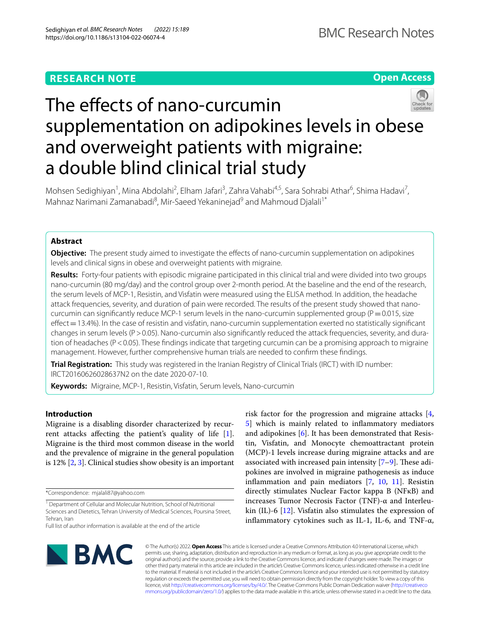**Open Access**

# The effects of nano-curcumin supplementation on adipokines levels in obese and overweight patients with migraine: a double blind clinical trial study

Mohsen Sedighiyan<sup>1</sup>, Mina Abdolahi<sup>2</sup>, Elham Jafari<sup>3</sup>, Zahra Vahabi<sup>4,5</sup>, Sara Sohrabi Athar<sup>6</sup>, Shima Hadavi<sup>7</sup>, Mahnaz Narimani Zamanabadi<sup>8</sup>, Mir-Saeed Yekaninejad<sup>9</sup> and Mahmoud Djalali<sup>1\*</sup>

# **Abstract**

**Objective:** The present study aimed to investigate the effects of nano-curcumin supplementation on adipokines levels and clinical signs in obese and overweight patients with migraine.

**Results:** Forty-four patients with episodic migraine participated in this clinical trial and were divided into two groups nano-curcumin (80 mg/day) and the control group over 2-month period. At the baseline and the end of the research, the serum levels of MCP-1, Resistin, and Visfatin were measured using the ELISA method. In addition, the headache attack frequencies, severity, and duration of pain were recorded. The results of the present study showed that nanocurcumin can significantly reduce MCP-1 serum levels in the nano-curcumin supplemented group ( $P=0.015$ , size effect = 13.4%). In the case of resistin and visfatin, nano-curcumin supplementation exerted no statistically significant changes in serum levels ( $P > 0.05$ ). Nano-curcumin also significantly reduced the attack frequencies, severity, and duration of headaches (P < 0.05). These findings indicate that targeting curcumin can be a promising approach to migraine management. However, further comprehensive human trials are needed to confrm these fndings.

**Trial Registration:** This study was registered in the Iranian Registry of Clinical Trials (IRCT) with ID number: IRCT20160626028637N2 on the date 2020-07-10.

**Keywords:** Migraine, MCP-1, Resistin, Visfatin, Serum levels, Nano-curcumin

# **Introduction**

Migraine is a disabling disorder characterized by recurrent attacks afecting the patient's quality of life [\[1](#page-5-0)]. Migraine is the third most common disease in the world and the prevalence of migraine in the general population is 12% [\[2](#page-5-1), [3\]](#page-5-2). Clinical studies show obesity is an important

\*Correspondence: mjalali87@yahoo.com

risk factor for the progression and migraine attacks [\[4](#page-5-3), [5\]](#page-5-4) which is mainly related to infammatory mediators and adipokines [\[6](#page-5-5)]. It has been demonstrated that Resistin, Visfatin, and Monocyte chemoattractant protein (MCP)-1 levels increase during migraine attacks and are associated with increased pain intensity  $[7-9]$  $[7-9]$ . These adipokines are involved in migraine pathogenesis as induce infammation and pain mediators [\[7,](#page-5-6) [10](#page-5-8), [11](#page-5-9)]. Resistin directly stimulates Nuclear Factor kappa B (NFκB) and increases Tumor Necrosis Factor (TNF)-α and Interleukin (IL)-6 [[12\]](#page-5-10). Visfatin also stimulates the expression of inflammatory cytokines such as IL-1, IL-6, and TNF- $\alpha$ ,



© The Author(s) 2022. **Open Access** This article is licensed under a Creative Commons Attribution 4.0 International License, which permits use, sharing, adaptation, distribution and reproduction in any medium or format, as long as you give appropriate credit to the original author(s) and the source, provide a link to the Creative Commons licence, and indicate if changes were made. The images or other third party material in this article are included in the article's Creative Commons licence, unless indicated otherwise in a credit line to the material. If material is not included in the article's Creative Commons licence and your intended use is not permitted by statutory regulation or exceeds the permitted use, you will need to obtain permission directly from the copyright holder. To view a copy of this licence, visit [http://creativecommons.org/licenses/by/4.0/.](http://creativecommons.org/licenses/by/4.0/) The Creative Commons Public Domain Dedication waiver ([http://creativeco](http://creativecommons.org/publicdomain/zero/1.0/) [mmons.org/publicdomain/zero/1.0/](http://creativecommons.org/publicdomain/zero/1.0/)) applies to the data made available in this article, unless otherwise stated in a credit line to the data.

<sup>&</sup>lt;sup>1</sup> Department of Cellular and Molecular Nutrition, School of Nutritional Sciences and Dietetics, Tehran University of Medical Sciences, Poursina Street, Tehran, Iran

Full list of author information is available at the end of the article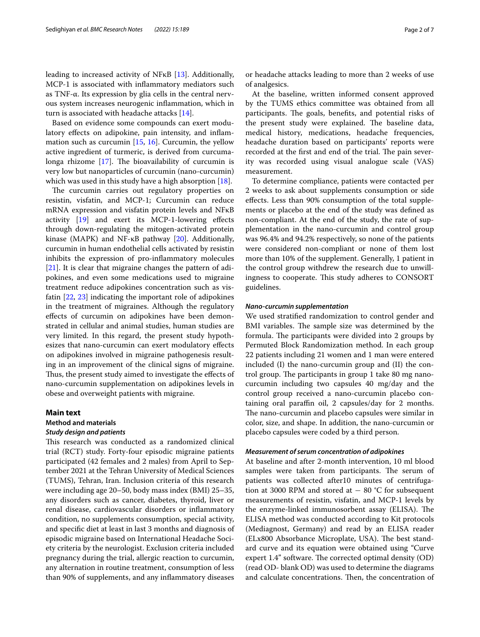leading to increased activity of NFκB [\[13](#page-5-11)]. Additionally, MCP-1 is associated with infammatory mediators such as TNF-α. Its expression by glia cells in the central nervous system increases neurogenic infammation, which in turn is associated with headache attacks [\[14](#page-5-12)].

Based on evidence some compounds can exert modulatory efects on adipokine, pain intensity, and infammation such as curcumin [\[15,](#page-5-13) [16\]](#page-5-14). Curcumin, the yellow active ingredient of turmeric, is derived from curcumalonga rhizome  $[17]$  $[17]$  $[17]$ . The bioavailability of curcumin is very low but nanoparticles of curcumin (nano-curcumin) which was used in this study have a high absorption [\[18\]](#page-5-16).

The curcumin carries out regulatory properties on resistin, visfatin, and MCP-1; Curcumin can reduce mRNA expression and visfatin protein levels and NFκB activity [[19](#page-5-17)] and exert its MCP-1-lowering efects through down-regulating the mitogen-activated protein kinase (MAPK) and NF- $\kappa$ B pathway [[20\]](#page-5-18). Additionally, curcumin in human endothelial cells activated by resistin inhibits the expression of pro-infammatory molecules [[21\]](#page-5-19). It is clear that migraine changes the pattern of adipokines, and even some medications used to migraine treatment reduce adipokines concentration such as visfatin [\[22](#page-5-20), [23](#page-5-21)] indicating the important role of adipokines in the treatment of migraines. Although the regulatory efects of curcumin on adipokines have been demonstrated in cellular and animal studies, human studies are very limited. In this regard, the present study hypothesizes that nano-curcumin can exert modulatory efects on adipokines involved in migraine pathogenesis resulting in an improvement of the clinical signs of migraine. Thus, the present study aimed to investigate the effects of nano-curcumin supplementation on adipokines levels in obese and overweight patients with migraine.

# **Main text**

# **Method and materials** *Study design and patients*

This research was conducted as a randomized clinical trial (RCT) study. Forty-four episodic migraine patients participated (42 females and 2 males) from April to September 2021 at the Tehran University of Medical Sciences (TUMS), Tehran, Iran. Inclusion criteria of this research were including age 20–50, body mass index (BMI) 25–35, any disorders such as cancer, diabetes, thyroid, liver or renal disease, cardiovascular disorders or infammatory condition, no supplements consumption, special activity, and specifc diet at least in last 3 months and diagnosis of episodic migraine based on International Headache Society criteria by the neurologist. Exclusion criteria included pregnancy during the trial, allergic reaction to curcumin, any alternation in routine treatment, consumption of less than 90% of supplements, and any infammatory diseases or headache attacks leading to more than 2 weeks of use of analgesics.

At the baseline, written informed consent approved by the TUMS ethics committee was obtained from all participants. The goals, benefits, and potential risks of the present study were explained. The baseline data, medical history, medications, headache frequencies, headache duration based on participants' reports were recorded at the first and end of the trial. The pain severity was recorded using visual analogue scale (VAS) measurement.

To determine compliance, patients were contacted per 2 weeks to ask about supplements consumption or side efects. Less than 90% consumption of the total supplements or placebo at the end of the study was defned as non-compliant. At the end of the study, the rate of supplementation in the nano-curcumin and control group was 96.4% and 94.2% respectively, so none of the patients were considered non-compliant or none of them lost more than 10% of the supplement. Generally, 1 patient in the control group withdrew the research due to unwillingness to cooperate. This study adheres to CONSORT guidelines.

# *Nano‑curcumin supplementation*

We used stratifed randomization to control gender and BMI variables. The sample size was determined by the formula. The participants were divided into 2 groups by Permuted Block Randomization method. In each group 22 patients including 21 women and 1 man were entered included (I) the nano-curcumin group and (II) the control group. The participants in group 1 take 80 mg nanocurcumin including two capsules 40 mg/day and the control group received a nano-curcumin placebo containing oral paraffin oil, 2 capsules/day for 2 months. The nano-curcumin and placebo capsules were similar in color, size, and shape. In addition, the nano-curcumin or placebo capsules were coded by a third person.

## *Measurement of serum concentration of adipokines*

At baseline and after 2-month intervention, 10 ml blood samples were taken from participants. The serum of patients was collected after10 minutes of centrifugation at 3000 RPM and stored at  $-$  80 °C for subsequent measurements of resistin, visfatin, and MCP-1 levels by the enzyme-linked immunosorbent assay (ELISA). The ELISA method was conducted according to Kit protocols (Mediagnost, Germany) and read by an ELISA reader (ELx800 Absorbance Microplate, USA). The best standard curve and its equation were obtained using "Curve expert  $1.4$ " software. The corrected optimal density  $(OD)$ (read OD- blank OD) was used to determine the diagrams and calculate concentrations. Then, the concentration of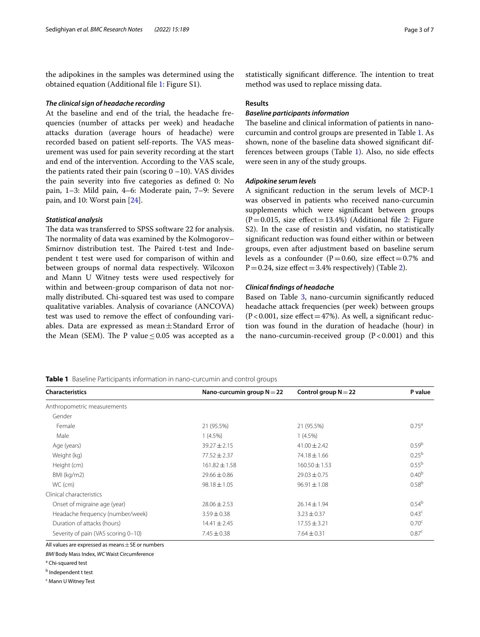the adipokines in the samples was determined using the obtained equation (Additional fle [1](#page-4-0): Figure S1).

## *The clinical sign of headache recording*

At the baseline and end of the trial, the headache frequencies (number of attacks per week) and headache attacks duration (average hours of headache) were recorded based on patient self-reports. The VAS measurement was used for pain severity recording at the start and end of the intervention. According to the VAS scale, the patients rated their pain (scoring  $0 - 10$ ). VAS divides the pain severity into fve categories as defned 0: No pain, 1–3: Mild pain, 4–6: Moderate pain, 7–9: Severe pain, and 10: Worst pain [[24\]](#page-5-22).

## *Statistical analysis*

The data was transferred to SPSS software 22 for analysis. The normality of data was examined by the Kolmogorov– Smirnov distribution test. The Paired t-test and Independent t test were used for comparison of within and between groups of normal data respectively. Wilcoxon and Mann U Witney tests were used respectively for within and between-group comparison of data not normally distributed. Chi-squared test was used to compare qualitative variables. Analysis of covariance (ANCOVA) test was used to remove the efect of confounding variables. Data are expressed as mean $\pm$ Standard Error of the Mean (SEM). The P value  $\leq$  0.05 was accepted as a statistically significant difference. The intention to treat method was used to replace missing data.

## **Results**

# *Baseline participants information*

The baseline and clinical information of patients in nanocurcumin and control groups are presented in Table [1](#page-2-0). As shown, none of the baseline data showed signifcant differences between groups (Table [1](#page-2-0)). Also, no side efects were seen in any of the study groups.

#### *Adipokine serum levels*

A signifcant reduction in the serum levels of MCP-1 was observed in patients who received nano-curcumin supplements which were signifcant between groups  $(P=0.015, \text{ size effect}=13.4\%)$  (Additional file [2:](#page-4-1) Figure S2). In the case of resistin and visfatin, no statistically signifcant reduction was found either within or between groups, even after adjustment based on baseline serum levels as a confounder ( $P=0.60$ , size effect=0.7% and  $P=0.24$ , size effect = 3.4% respectively) (Table [2\)](#page-3-0).

## *Clinical fndings of headache*

Based on Table [3](#page-4-2), nano-curcumin significantly reduced headache attack frequencies (per week) between groups  $(P<0.001$ , size effect = 47%). As well, a significant reduction was found in the duration of headache (hour) in the nano-curcumin-received group  $(P<0.001)$  and this

# <span id="page-2-0"></span>**Table 1** Baseline Participants information in nano-curcumin and control groups

| <b>Characteristics</b>              | Nano-curcumin group $N = 22$ | Control group $N = 22$ | P value           |
|-------------------------------------|------------------------------|------------------------|-------------------|
| Anthropometric measurements         |                              |                        |                   |
| Gender                              |                              |                        |                   |
| Female                              | 21 (95.5%)                   | 21 (95.5%)             | $0.75^{\circ}$    |
| Male                                | $1(4.5\%)$                   | $1(4.5\%)$             |                   |
| Age (years)                         | $39.27 \pm 2.15$             | $41.00 \pm 2.42$       | 0.59 <sup>b</sup> |
| Weight (kg)                         | $77.52 \pm 2.37$             | $74.18 \pm 1.66$       | $0.25^{b}$        |
| Height (cm)                         | $161.82 \pm 1.58$            | $160.50 \pm 1.53$      | $0.55^{b}$        |
| BMI (kg/m2)                         | $29.66 \pm 0.86$             | $29.03 \pm 0.75$       | $0.40^{b}$        |
| WC (cm)                             | $98.18 \pm 1.05$             | $96.91 \pm 1.08$       | $0.58^{b}$        |
| Clinical characteristics            |                              |                        |                   |
| Onset of migraine age (year)        | $28.06 \pm 2.53$             | $26.14 \pm 1.94$       | $0.54^{b}$        |
| Headache frequency (number/week)    | $3.59 \pm 0.38$              | $3.23 \pm 0.37$        | 0.43 <sup>c</sup> |
| Duration of attacks (hours)         | $14.41 \pm 2.45$             | $17.55 \pm 3.21$       | 0.70 <sup>c</sup> |
| Severity of pain (VAS scoring 0-10) | $7.45 \pm 0.38$              | $7.64 \pm 0.31$        | 0.87 <sup>c</sup> |

All values are expressed as means  $\pm$  SE or numbers

*BMI* Body Mass Index, *WC* Waist Circumference

<sup>a</sup> Chi-squared test

<sup>b</sup> Independent t test

<sup>c</sup> Mann U Witney Test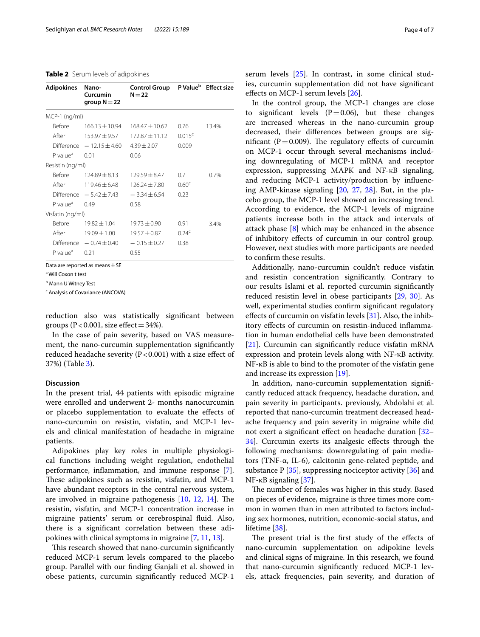#### <span id="page-3-0"></span>**Table 2** Serum levels of adipokines

| <b>Adipokines</b>      | Nano-<br>Curcumin<br>group $N = 22$ | Control Group P Value <sup>b</sup> Effect size<br>$N = 22$ |                    |       |
|------------------------|-------------------------------------|------------------------------------------------------------|--------------------|-------|
| MCP-1 (ng/ml)          |                                     |                                                            |                    |       |
| Before                 | $166.13 + 10.94$                    | $168.47 + 10.62$                                           | 0.76               | 13.4% |
| After                  | 153.97 ± 9.57                       | $172.87 + 11.12$                                           | 0.015 <sup>c</sup> |       |
|                        | Difference $-12.15 \pm 4.60$        | $4.39 \pm 2.07$                                            | 0.009              |       |
| P value <sup>a</sup>   | 0.01                                | 0.06                                                       |                    |       |
| Resistin (ng/ml)       |                                     |                                                            |                    |       |
| Before                 | $124.89 + 8.13$                     | $129.59 + 8.47$                                            | 0.7                | 0.7%  |
| After                  | $119.46 + 6.48$                     | $126.24 \pm 7.80$                                          | 0.60 <sup>c</sup>  |       |
|                        | Difference $-5.42 \pm 7.43$         | $-3.34 \pm 6.54$                                           | 0.23               |       |
| P value <sup>a</sup>   | 0.49                                | 0.58                                                       |                    |       |
| Visfatin (ng/ml)       |                                     |                                                            |                    |       |
| <b>Before</b>          | $19.82 \pm 1.04$                    | $19.73 \pm 0.90$                                           | 0.91               | 3.4%  |
| After                  | $19.09 \pm 1.00$                    | $19.57 \pm 0.87$                                           | 0.24 <sup>c</sup>  |       |
|                        | Difference $-0.74 \pm 0.40$         | $-0.15 \pm 0.27$                                           | 0.38               |       |
| $P$ value <sup>a</sup> | 0.21                                | 0.55                                                       |                    |       |

Data are reported as means  $\pm$  SE

a Will Coxon t test

<sup>b</sup> Mann U Witney Test

<sup>c</sup> Analysis of Covariance (ANCOVA)

reduction also was statistically signifcant between groups ( $P < 0.001$ , size effect = 34%).

In the case of pain severity, based on VAS measurement, the nano-curcumin supplementation signifcantly reduced headache severity ( $P < 0.001$ ) with a size effect of 37%) (Table [3\)](#page-4-2).

# **Discussion**

In the present trial, 44 patients with episodic migraine were enrolled and underwent 2- months nanocurcumin or placebo supplementation to evaluate the efects of nano-curcumin on resistin, visfatin, and MCP-1 levels and clinical manifestation of headache in migraine patients.

Adipokines play key roles in multiple physiological functions including weight regulation, endothelial performance, infammation, and immune response [\[7](#page-5-6)]. These adipokines such as resistin, visfatin, and MCP-1 have abundant receptors in the central nervous system, are involved in migraine pathogenesis  $[10, 12, 14]$  $[10, 12, 14]$  $[10, 12, 14]$  $[10, 12, 14]$  $[10, 12, 14]$ . The resistin, visfatin, and MCP-1 concentration increase in migraine patients' serum or cerebrospinal fuid. Also, there is a signifcant correlation between these adipokines with clinical symptoms in migraine [[7,](#page-5-6) [11](#page-5-9), [13](#page-5-11)].

This research showed that nano-curcumin significantly reduced MCP-1 serum levels compared to the placebo group. Parallel with our fnding Ganjali et al. showed in obese patients, curcumin signifcantly reduced MCP-1

serum levels [[25\]](#page-5-23). In contrast, in some clinical studies, curcumin supplementation did not have signifcant efects on MCP-1 serum levels [[26](#page-5-24)].

In the control group, the MCP-1 changes are close to significant levels  $(P=0.06)$ , but these changes are increased whereas in the nano-curcumin group decreased, their diferences between groups are significant ( $P=0.009$ ). The regulatory effects of curcumin on MCP-1 occur through several mechanisms including downregulating of MCP-1 mRNA and receptor expression, suppressing MAPK and NF-κB signaling, and reducing MCP-1 activity/production by infuencing AMP-kinase signaling [[20,](#page-5-18) [27,](#page-5-25) [28\]](#page-5-26). But, in the placebo group, the MCP-1 level showed an increasing trend. According to evidence, the MCP-1 levels of migraine patients increase both in the attack and intervals of attack phase [[8\]](#page-5-27) which may be enhanced in the absence of inhibitory efects of curcumin in our control group. However, next studies with more participants are needed to confrm these results.

Additionally, nano-curcumin couldn't reduce visfatin and resistin concentration signifcantly. Contrary to our results Islami et al. reported curcumin signifcantly reduced resistin level in obese participants [[29,](#page-5-28) [30](#page-6-0)]. As well, experimental studies confrm signifcant regulatory efects of curcumin on visfatin levels [\[31\]](#page-6-1). Also, the inhibitory efects of curcumin on resistin-induced infammation in human endothelial cells have been demonstrated [[21\]](#page-5-19). Curcumin can signifcantly reduce visfatin mRNA expression and protein levels along with NF-κB activity. NF-κB is able to bind to the promoter of the visfatin gene and increase its expression [\[19](#page-5-17)].

In addition, nano-curcumin supplementation signifcantly reduced attack frequency, headache duration, and pain severity in participants. previously, Abdolahi et al. reported that nano-curcumin treatment decreased headache frequency and pain severity in migraine while did not exert a signifcant efect on headache duration [[32–](#page-6-2) [34\]](#page-6-3). Curcumin exerts its analgesic efects through the following mechanisms: downregulating of pain mediators (TNF-α, IL-6), calcitonin gene-related peptide, and substance  $P[35]$  $P[35]$  $P[35]$ , suppressing nociceptor activity  $[36]$  and NF-κB signaling  $[37]$  $[37]$ .

The number of females was higher in this study. Based on pieces of evidence, migraine is three times more common in women than in men attributed to factors including sex hormones, nutrition, economic-social status, and lifetime [\[38](#page-6-7)].

The present trial is the first study of the effects of nano-curcumin supplementation on adipokine levels and clinical signs of migraine. In this research, we found that nano-curcumin signifcantly reduced MCP-1 levels, attack frequencies, pain severity, and duration of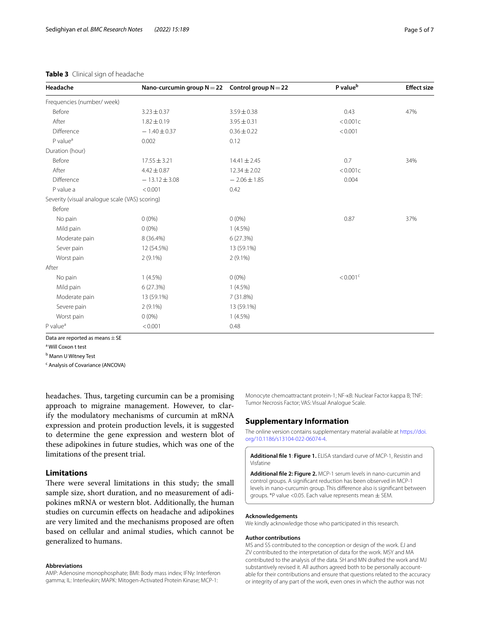# <span id="page-4-2"></span>**Table 3** Clinical sign of headache

| Headache                                       | Nano-curcumin group $N = 22$ Control group $N = 22$ |                  | P value <sup>b</sup>   | <b>Effect size</b> |
|------------------------------------------------|-----------------------------------------------------|------------------|------------------------|--------------------|
| Frequencies (number/week)                      |                                                     |                  |                        |                    |
| Before                                         | $3.23 \pm 0.37$                                     | $3.59 \pm 0.38$  | 0.43                   | 47%                |
| After                                          | $1.82 \pm 0.19$                                     | $3.95 \pm 0.31$  | < 0.001c               |                    |
| Difference                                     | $-1.40 \pm 0.37$                                    | $0.36 \pm 0.22$  | < 0.001                |                    |
| $P$ value <sup><math>a</math></sup>            | 0.002                                               | 0.12             |                        |                    |
| Duration (hour)                                |                                                     |                  |                        |                    |
| Before                                         | $17.55 \pm 3.21$                                    | $14.41 \pm 2.45$ | 0.7                    | 34%                |
| After                                          | $4.42 \pm 0.87$                                     | $12.34 \pm 2.02$ | < 0.001c               |                    |
| Difference                                     | $-13.12 \pm 3.08$                                   | $-2.06 \pm 1.85$ | 0.004                  |                    |
| P value a                                      | < 0.001                                             | 0.42             |                        |                    |
| Severity (visual analogue scale (VAS) scoring) |                                                     |                  |                        |                    |
| Before                                         |                                                     |                  |                        |                    |
| No pain                                        | $0(0\%)$                                            | $0(0\%)$         | 0.87                   | 37%                |
| Mild pain                                      | $0(0\%)$                                            | $1(4.5\%)$       |                        |                    |
| Moderate pain                                  | 8 (36.4%)                                           | 6 (27.3%)        |                        |                    |
| Sever pain                                     | 12 (54.5%)                                          | 13 (59.1%)       |                        |                    |
| Worst pain                                     | $2(9.1\%)$                                          | $2(9.1\%)$       |                        |                    |
| After                                          |                                                     |                  |                        |                    |
| No pain                                        | $1(4.5\%)$                                          | $0(0\%)$         | $< 0.001$ <sup>c</sup> |                    |
| Mild pain                                      | 6(27.3%)                                            | $1(4.5\%)$       |                        |                    |
| Moderate pain                                  | 13 (59.1%)                                          | 7 (31.8%)        |                        |                    |
| Severe pain                                    | $2(9.1\%)$                                          | 13 (59.1%)       |                        |                    |
| Worst pain                                     | $0(0\%)$                                            | $1(4.5\%)$       |                        |                    |
| P value <sup>a</sup>                           | < 0.001                                             | 0.48             |                        |                    |

Data are reported as means  $\pm$  SE

a Will Coxon t test

<sup>b</sup> Mann U Witney Test

<sup>c</sup> Analysis of Covariance (ANCOVA)

headaches. Thus, targeting curcumin can be a promising approach to migraine management. However, to clarify the modulatory mechanisms of curcumin at mRNA expression and protein production levels, it is suggested to determine the gene expression and western blot of these adipokines in future studies, which was one of the limitations of the present trial.

# **Limitations**

There were several limitations in this study; the small sample size, short duration, and no measurement of adipokines mRNA or western blot. Additionally, the human studies on curcumin efects on headache and adipokines are very limited and the mechanisms proposed are often based on cellular and animal studies, which cannot be generalized to humans.

## **Abbreviations**

AMP: Adenosine monophosphate; BMI: Body mass index; IFNγ: Interferon gamma; IL: Interleukin; MAPK: Mitogen-Activated Protein Kinase; MCP-1:

Monocyte chemoattractant protein-1; NF-κB: Nuclear Factor kappa B; TNF: Tumor Necrosis Factor; VAS: Visual Analogue Scale.

# **Supplementary Information**

The online version contains supplementary material available at [https://doi.](https://doi.org/10.1186/s13104-022-06074-4) [org/10.1186/s13104-022-06074-4](https://doi.org/10.1186/s13104-022-06074-4).

<span id="page-4-1"></span><span id="page-4-0"></span>**Additional fle 1**: **Figure 1.** ELISA standard curve of MCP-1, Resistin and Visfatine

**Additional fle 2: Figure 2.** MCP-1 serum levels in nano-curcumin and control groups. A signifcant reduction has been observed in MCP-1 levels in nano-curcumin group. This diference also is signifcant between groups. \*P value <0.05. Each value represents mean ± SEM.

#### **Acknowledgements**

We kindly acknowledge those who participated in this research.

#### **Author contributions**

MS and SS contributed to the conception or design of the work. EJ and ZV contributed to the interpretation of data for the work. MSY and MA contributed to the analysis of the data. SH and MN drafted the work and MJ substantively revised it. All authors agreed both to be personally accountable for their contributions and ensure that questions related to the accuracy or integrity of any part of the work, even ones in which the author was not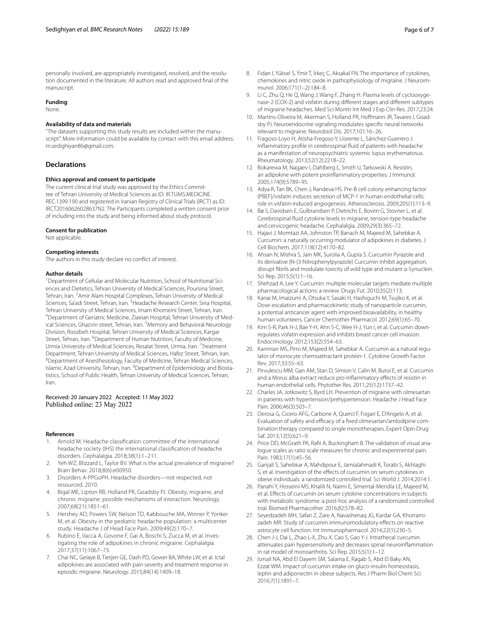personally involved, are appropriately investigated, resolved, and the resolution documented in the literature. All authors read and approved fnal of the manuscript.

## **Funding**

None.

#### **Availability of data and materials**

"The datasets supporting this study results are included within the manu‑ script". More information could be available by contact with this email address: m.sedighiyan86@gmail.com.

## **Declarations**

#### **Ethics approval and consent to participate**

The current clinical trial study was approved by the Ethics Committee of Tehran University of Medical Sciences as ID: IR.TUMS.MEDICINE. REC.1399.190 and registered in Iranian Registry of Clinical Trials (IRCT) as ID: IRCT20160626028637N2. The Participants completed a written consent prior of including into the study and being informed about study protocol.

#### **Consent for publication**

Not applicable.

#### **Competing interests**

The authors in this study declare no confict of interest.

#### **Author details**

<sup>1</sup> Department of Cellular and Molecular Nutrition, School of Nutritional Sciences and Dietetics, Tehran University of Medical Sciences, Poursina Street, Tehran, Iran. <sup>2</sup> Amir Alam Hospital Complexes, Tehran University of Medical Sciences, Sa'adi Street, Tehran, Iran. <sup>3</sup> Headache Research Center, Sina Hospital, Tehran University of Medical Sciences, Imam Khomeini Street, Tehran, Iran. 4 <sup>4</sup> Department of Geriatric Medicine, Ziaeian Hospital, Tehran University of Medical Sciences, Ghazvin street, Tehran, Iran. <sup>5</sup> Memory and Behavioral Neurology Division, Roozbeh Hospital, Tehran University of Medical Sciences, Kargar Street, Tehran, Iran. <sup>6</sup> Department of Human Nutrition, Faculty of Medicine, Urmia University of Medical Sciences, Resalat Street, Urmia, Iran. <sup>7</sup>Treatment Department, Tehran University of Medical Sciences, Hafez Street, Tehran, Iran. <sup>8</sup>Department of Anesthesiology, Faculty of Medicine, Tehran Medical Sciences, Islamic Azad University, Tehran, Iran. <sup>9</sup> Department of Epidemiology and Biostatistics, School of Public Health, Tehran University of Medical Sciences, Tehran, Iran.

## Received: 20 January 2022 Accepted: 11 May 2022 Published online: 23 May 2022

#### **References**

- <span id="page-5-0"></span>1. Arnold M. Headache classifcation committee of the international headache society (IHS) the international classifcation of headache disorders. Cephalalgia. 2018;38(1):1–211.
- <span id="page-5-1"></span>2. Yeh WZ, Blizzard L, Taylor BV. What is the actual prevalence of migraine? Brain Behav. 2018;8(6):e00950.
- <span id="page-5-2"></span>3. Disorders A-PPGoPH. Headache disorders—not respected, not resourced. 2010.
- <span id="page-5-3"></span>4. Bigal ME, Lipton RB, Holland PR, Goadsby PJ. Obesity, migraine, and chronic migraine: possible mechanisms of interaction. Neurology. 2007;68(21):1851–61.
- <span id="page-5-4"></span>5. Hershey AD, Powers SW, Nelson TD, Kabbouche MA, Winner P, Yonker M, et al. Obesity in the pediatric headache population: a multicenter study. Headache J of Head Face Pain. 2009;49(2):170–7.
- <span id="page-5-5"></span>6. Rubino E, Vacca A, Govone F, Gai A, Boschi S, Zucca M, et al. Investigating the role of adipokines in chronic migraine. Cephalalgia. 2017;37(11):1067–73.
- <span id="page-5-6"></span>7. Chai NC, Gelaye B, Tietjen GE, Dash PD, Gower BA, White LW, et al. Ictal adipokines are associated with pain severity and treatment response in episodic migraine. Neurology. 2015;84(14):1409–18.
- <span id="page-5-27"></span>8. Fidan I, Yüksel S, Ýmir T, İrkeç C, Aksakal FN. The importance of cytokines, chemokines and nitric oxide in pathophysiology of migraine. J Neuroimmunol. 2006;171(1–2):184–8.
- <span id="page-5-7"></span>9. Li C, Zhu Q, He Q, Wang J, Wang F, Zhang H. Plasma levels of cyclooxygenase-2 (COX-2) and visfatin during diferent stages and diferent subtypes of migraine headaches. Med Sci Monitr Int Med J Exp Clin Res. 2017;23:24.
- <span id="page-5-8"></span>10. Martins-Oliveira M, Akerman S, Holland PR, Hoffmann JR, Tavares I, Goadsby PJ. Neuroendocrine signaling modulates specifc neural networks relevant to migraine. Neurobiol Dis. 2017;101:16–26.
- <span id="page-5-9"></span>11. Fragoso-Loyo H, Atisha-Fregoso Y, Llorente L, Sánchez-Guerrero J. Infammatory profle in cerebrospinal fuid of patients with headache as a manifestation of neuropsychiatric systemic lupus erythematosus. Rheumatology. 2013;52(12):2218–22.
- <span id="page-5-10"></span>12. Bokarewa M, Nagaev I, Dahlberg L, Smith U, Tarkowski A. Resistin, an adipokine with potent proinfammatory properties. J Immunol. 2005;174(9):5789–95.
- <span id="page-5-11"></span>13. Adya R, Tan BK, Chen J, Randeva HS. Pre-B cell colony enhancing factor (PBEF)/visfatin induces secretion of MCP-1 in human endothelial cells: role in visfatin-induced angiogenesis. Atherosclerosis. 2009;205(1):113–9.
- <span id="page-5-12"></span>14. Bø S, Davidsen E, Gulbrandsen P, Dietrichs E, Bovim G, Stovner L, et al. Cerebrospinal fuid cytokine levels in migraine, tension-type headache and cervicogenic headache. Cephalalgia. 2009;29(3):365–72.
- <span id="page-5-13"></span>15. Hajavi J, Momtazi AA, Johnston TP, Banach M, Majeed M, Sahebkar A. Curcumin: a naturally occurring modulator of adipokines in diabetes. J Cell Biochem. 2017;118(12):4170–82.
- <span id="page-5-14"></span>16. Ahsan N, Mishra S, Jain MK, Surolia A, Gupta S. Curcumin Pyrazole and its derivative (N-(3-Nitrophenylpyrazole) Curcumin inhibit aggregation, disrupt fbrils and modulate toxicity of wild type and mutant α-Synuclein. Sci Rep. 2015;5(1):1–16.
- <span id="page-5-15"></span>17. Shehzad A, Lee Y. Curcumin: multiple molecular targets mediate multiple pharmacological actions: a review. Drugs Fut. 2010;35(2):113.
- <span id="page-5-16"></span>18. Kanai M, Imaizumi A, Otsuka Y, Sasaki H, Hashiguchi M, Tsujiko K, et al. Dose-escalation and pharmacokinetic study of nanoparticle curcumin, a potential anticancer agent with improved bioavailability, in healthy human volunteers. Cancer Chemother Pharmacol. 2012;69(1):65–70.
- <span id="page-5-17"></span>19. Kim S-R, Park H-J, Bae Y-H, Ahn S-C, Wee H-J, Yun I, et al. Curcumin downregulates visfatin expression and inhibits breast cancer cell invasion. Endocrinology. 2012;153(2):554–63.
- <span id="page-5-18"></span>20. Karimian MS, Pirro M, Majeed M, Sahebkar A. Curcumin as a natural regulator of monocyte chemoattractant protein-1. Cytokine Growth Factor Rev. 2017;33:55–63.
- <span id="page-5-19"></span>21. Pirvulescu MM, Gan AM, Stan D, Simion V, Calin M, Butoi E, et al. Curcumin and a Morus alba extract reduce pro-Inflammatory effects of resistin in human endothelial cells. Phytother Res. 2011;25(12):1737–42.
- <span id="page-5-20"></span>22. Charles JA, Jotkowitz S, Byrd LH. Prevention of migraine with olmesartan in patients with hypertension/prehypertension. Headache J Head Face Pain. 2006;46(3):503–7.
- <span id="page-5-21"></span>23. Derosa G, Cicero AFG, Carbone A, Querci F, Fogari E, D'Angelo A, et al. Evaluation of safety and efficacy of a fixed olmesartan/amlodipine combination therapy compared to single monotherapies. Expert Opin Drug Saf. 2013;12(5):621–9.
- <span id="page-5-22"></span>24. Price DD, McGrath PA, Rafii A, Buckingham B. The validation of visual analogue scales as ratio scale measures for chronic and experimental pain. Pain. 1983;17(1):45–56.
- <span id="page-5-23"></span>25. Ganjali S, Sahebkar A, Mahdipour E, Jamialahmadi K, Torabi S, Akhlaghi S, et al. Investigation of the effects of curcumin on serum cytokines in obese individuals: a randomized controlled trial. Sci World J. 2014;2014:1.
- <span id="page-5-24"></span>26. Panahi Y, Hosseini MS, Khalili N, Naimi E, Simental-Mendía LE, Majeed M, et al. Efects of curcumin on serum cytokine concentrations in subjects with metabolic syndrome: a post-hoc analysis of a randomized controlled trial. Biomed Pharmacother. 2016;82:578–82.
- <span id="page-5-25"></span>27. Seyedzadeh MH, Safari Z, Zare A, Navashenag JG, Kardar GA, Khorramizadeh MR. Study of curcumin immunomodulatory efects on reactive astrocyte cell function. Int Immunopharmacol. 2014;22(1):230–5.
- <span id="page-5-26"></span>28. Chen J-J, Dai L, Zhao L-X, Zhu X, Cao S, Gao Y-J. Intrathecal curcumin attenuates pain hypersensitivity and decreases spinal neuroinfammation in rat model of monoarthritis. Sci Rep. 2015;5(1):1–12.
- <span id="page-5-28"></span>29. Ismail NA, Abd El Dayem SM, Salama E, Ragab S, Abd El Baky AN, Ezzat WM. Impact of curcumin intake on gluco-insulin homeostasis, leptin and adiponectin in obese subjects. Res J Pharm Biol Chem Sci. 2016;7(1):1891–7.